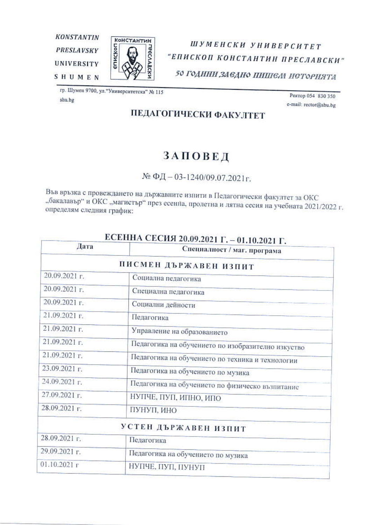



ШУМЕНСКИ УНИВЕРСИТЕТ "ЕПИСКОП КОНСТАНТИН ПРЕСЛАВСКИ" 50 ГОДИНИ ЗАСДНО ПИШЕМ ИСТОРИЯТА

гр. Шумен 9700, ул. "Университетска" № 115 shu.bg

Ректор 054 830 350 e-mail: rector@shu.bg

#### ПЕДАГОГИЧЕСКИ ФАКУЛТЕТ

#### ЗАПОВЕД

 $N$ <sup>®</sup> ФД − 03-1240/09.07.2021г.

Във връзка с провеждането на държавните изпити в Педагогически факултет за ОКС "бакалавър" и ОКС "магистър" през есенна, пролетна и лятна сесия на учебната 2021/2022 г. определям следния график:

| ЕСЕННА СЕСИЯ 20.09.2021 Г. - 01.10.2021 Г.         |  |  |
|----------------------------------------------------|--|--|
| Специалност / маг. програма                        |  |  |
| ПИСМЕН ДЪРЖАВЕН ИЗПИТ                              |  |  |
| Социална педагогика                                |  |  |
| Специална педагогика                               |  |  |
| Социални дейности                                  |  |  |
| Педагогика                                         |  |  |
| Управление на образованието                        |  |  |
| Педагогика на обучението по изобразително изкуство |  |  |
| Педагогика на обучението по техника и технологии   |  |  |
| Педагогика на обучението по музика                 |  |  |
| Педагогика на обучението по физическо възпитание   |  |  |
| НУПЧЕ, ПУП, ИПНО, ИПО                              |  |  |
| ПУНУП, ИНО                                         |  |  |
| УСТЕН ДЪРЖАВЕН ИЗПИТ                               |  |  |
| Педагогика                                         |  |  |
| Педагогика на обучението по музика                 |  |  |
| НУПЧЕ, ПУП, ПУНУП                                  |  |  |
|                                                    |  |  |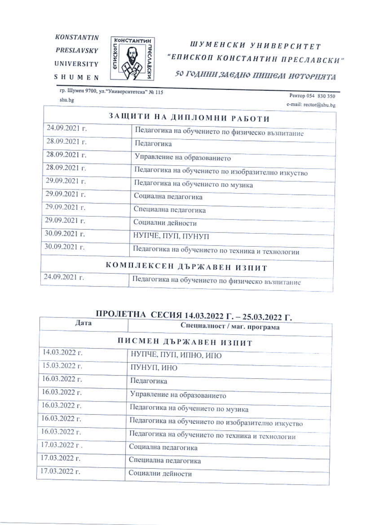**KONSTANTIN PRESLAVSKY UNIVERSITY** 

**SHUMEN** 



## ШУМЕНСКИ УНИВЕРСИТЕТ "ЕПИСКОП КОНСТАНТИН ПРЕСЛАВСКИ"

50 ГОДИНИ ЗАСДНО ПИШЕМ ИСТОРНЯТА

гр. Шумен 9700, ул."Университетска" № 115 shu.bg

Ректор 054 830 350 e-mail: rector@shu.bg

|               | ЗАЩИТИ НА ДИПЛОМНИ РАБОТИ                          |
|---------------|----------------------------------------------------|
| 24.09.2021 г. | Педагогика на обучението по физическо възпитание   |
| 28.09.2021 г. | Педагогика                                         |
| 28.09.2021 г. | Управление на образованието                        |
| 28.09.2021 г. | Педагогика на обучението по изобразително изкуство |
| 29.09.2021 г. | Педагогика на обучението по музика                 |
| 29.09.2021 г. | Социална педагогика                                |
| 29.09.2021 г. | Специална педагогика                               |
| 29.09.2021 г. | Социални дейности                                  |
| 30.09.2021 г. | НУПЧЕ, ПУП, ПУНУП                                  |
| 30.09.2021 г. | Педагогика на обучението по техника и технологии   |
|               | КОМПЛЕКСЕН ДЪРЖАВЕН ИЗПИТ                          |
| 24.09.2021 г. | Педагогика на обучението по физическо възпитание   |

### ПРОЛЕТНА СЕСИЯ 14.03.2022 Г. - 25.03.2022 Г.

| Дата          | Специалност / маг. програма                        |
|---------------|----------------------------------------------------|
|               | ПИСМЕН ДЪРЖАВЕН ИЗПИТ                              |
| 14.03.2022 г. | НУПЧЕ, ПУП, ИПНО, ИПО                              |
| 15.03.2022 г. | ПУНУП, ИНО                                         |
| 16.03.2022 г. | Педагогика                                         |
| 16.03.2022 г. | Управление на образованието                        |
| 16.03.2022 г. | Педагогика на обучението по музика                 |
| 16.03.2022 г. | Педагогика на обучението по изобразително изкуство |
| 16.03.2022 г. | Педагогика на обучението по техника и технологии   |
| 17.03.2022 г. | Социална педагогика                                |
| 17.03.2022 г. | Специална педагогика                               |
| 17.03.2022 г. | Социални дейности                                  |
|               |                                                    |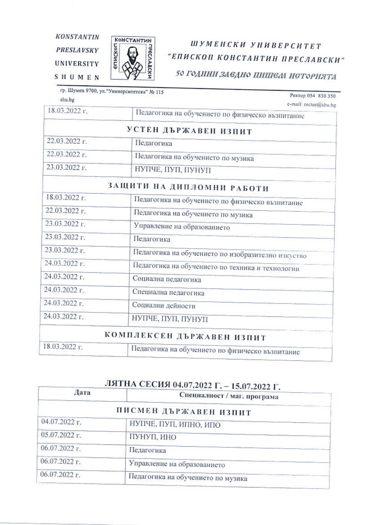**KONSTANTIN PRESLAVSKY** 

**UNIVERSITY** 

π



Константин

## ШУМЕНСКИ УНИВЕРСИТЕТ "ЕПИСКОП КОНСТАНТИН ПРЕСЛАВСКИ"

50 ГОДИНИ ЗАЕДНО ПИШЕМ ИСТОРНЯТА

| shu.bg        | гр. Шумен 9700, ул. "Университетска" № 115<br>Ректор 054 830 350          |
|---------------|---------------------------------------------------------------------------|
| 18.03.2022 r. | e-mail: rector@shu.bg<br>Педагогика на обучението по физическо възпитание |
|               | УСТЕН ДЪРЖАВЕН ИЗПИТ                                                      |
| 22.03.2022 г. | Педагогика                                                                |
| 22.03.2022 г. | Педагогика на обучението по музика                                        |
| 23.03.2022 г. | НУПЧЕ, ПУП, ПУНУП                                                         |
|               | ЗАЩИТИ НА ДИПЛОМНИ РАБОТИ                                                 |
| 18.03.2022 г. | Педагогика на обучението по физическо възпитание                          |
| 22.03.2022 г. | Педагогика на обучението по музика                                        |
| 23.03.2022 г. | Управление на образованието                                               |
| 23.03.2022 г. | Педагогика                                                                |
| 23.03.2022 г. | Педагогика на обучението по изобразително изкуство                        |
| 24.03.2022 г. | Педагогика на обучението по техника и технологии                          |
| 24.03.2022 г. | Социална педагогика                                                       |
| 24.03.2022 г. | Специална педагогика                                                      |
| 24.03.2022 г. | Социални дейности                                                         |
| 24.03.2022 г. | НУПЧЕ, ПУП, ПУНУП                                                         |
|               | КОМПЛЕКСЕН ДЪРЖАВЕН ИЗПИТ                                                 |
| 18.03.2022 г. | Педагогика на обучението по физическо възпитание                          |

### ЛЯТНА СЕСИЯ 04.07.2022 Г. - 15.07.2022 Г.

| Специалност / маг. програма        |
|------------------------------------|
| ПИСМЕН ДЪРЖАВЕН ИЗПИТ              |
| НУПЧЕ, ПУП, ИПНО, ИПО              |
| ПУНУП, ИНО                         |
| Педагогика                         |
| Управление на образованието        |
| Педагогика на обучението по музика |
|                                    |